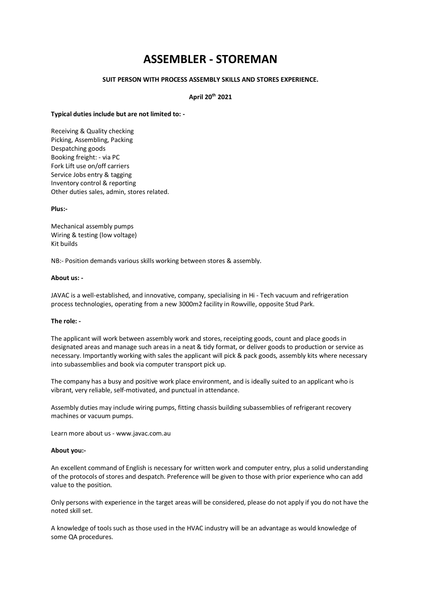# **ASSEMBLER - STOREMAN**

## **SUIT PERSON WITH PROCESS ASSEMBLY SKILLS AND STORES EXPERIENCE.**

## **April 20th 2021**

#### **Typical duties include but are not limited to: -**

Receiving & Quality checking Picking, Assembling, Packing Despatching goods Booking freight: - via PC Fork Lift use on/off carriers Service Jobs entry & tagging Inventory control & reporting Other duties sales, admin, stores related.

#### **Plus:-**

Mechanical assembly pumps Wiring & testing (low voltage) Kit builds

NB:- Position demands various skills working between stores & assembly.

## **About us: -**

JAVAC is a well-established, and innovative, company, specialising in Hi - Tech vacuum and refrigeration process technologies, operating from a new 3000m2 facility in Rowville, opposite Stud Park.

# **The role: -**

The applicant will work between assembly work and stores, receipting goods, count and place goods in designated areas and manage such areas in a neat & tidy format, or deliver goods to production or service as necessary. Importantly working with sales the applicant will pick & pack goods, assembly kits where necessary into subassemblies and book via computer transport pick up.

The company has a busy and positive work place environment, and is ideally suited to an applicant who is vibrant, very reliable, self-motivated, and punctual in attendance.

Assembly duties may include wiring pumps, fitting chassis building subassemblies of refrigerant recovery machines or vacuum pumps.

Learn more about us - www.javac.com.au

#### **About you:-**

An excellent command of English is necessary for written work and computer entry, plus a solid understanding of the protocols of stores and despatch. Preference will be given to those with prior experience who can add value to the position.

Only persons with experience in the target areas will be considered, please do not apply if you do not have the noted skill set.

A knowledge of tools such as those used in the HVAC industry will be an advantage as would knowledge of some QA procedures.